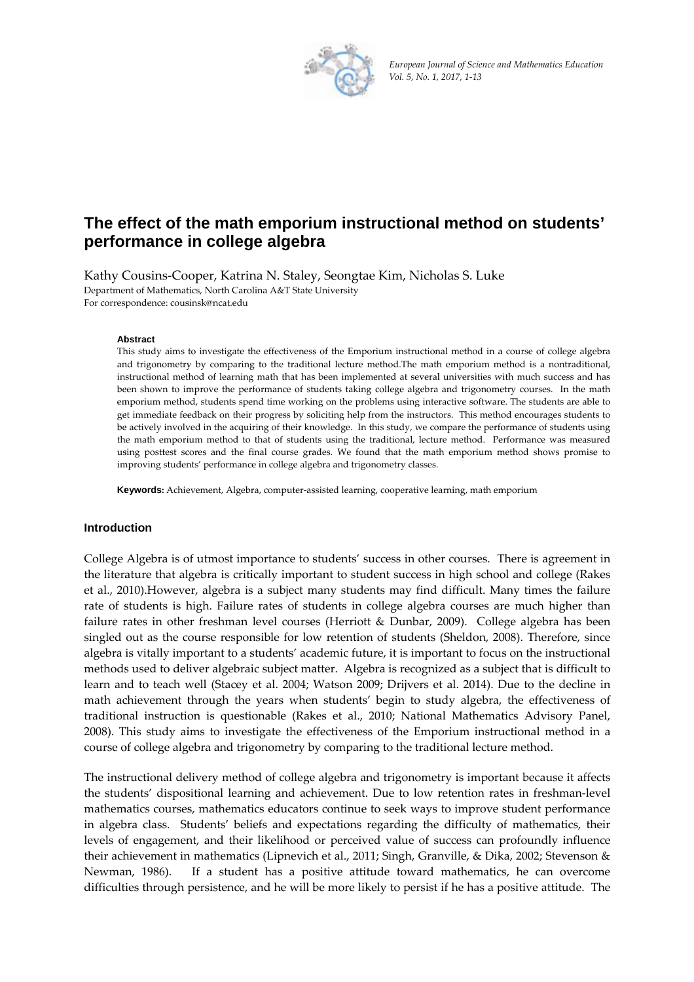

*European Jou urnal of Science a nd Mathematics Education Vol. 5, No. 1, 2017, 1‐13*

# The effect of the math emporium instructional method on students' **perfo rmance in colleg ge algebr ra**

Kathy Cousins-Cooper, Katrina N. Staley, Seongtae Kim, Nicholas S. Luke Department of Mathematics, North Carolina A&T State University For corres pondence: cous sinsk@ncat.edu

#### **Ab bstract**

This study aims to investigate the effectiveness of the Emporium instructional method in a course of college algebra and trigonometry by comparing to the traditional lecture method.The math emporium method is a nontraditional, instructional method of learning math that has been implemented at several universities with much success and has been shown to improve the performance of students taking college algebra and trigonometry courses. In the math emporium method, students spend time working on the problems using interactive software. The students are able to get immediate feedback on their progress by soliciting help from the instructors. This method encourages students to be actively involved in the acquiring of their knowledge. In this study, we compare the performance of students using the math emporium method to that of students using the traditional, lecture method. Performance was measured using posttest scores and the final course grades. We found that the math emporium method shows promise to improving students' performance in college algebra and trigonometry classes.

Keywords: Achievement, Algebra, computer-assisted learning, cooperative learning, math emporium

## **Introduction**

College Algebra is of utmost importance to students' success in other courses. There is agreement in the literature that algebra is critically important to student success in high school and college (Rakes et al., 2010).However, algebra is a subject many students may find difficult. Many times the failure rate of students is high. Failure rates of students in college algebra courses are much higher than failure rates in other freshman level courses (Herriott & Dunbar, 2009). College algebra has been singled out as the course responsible for low retention of students (Sheldon, 2008). Therefore, since algebra is vitally important to a students' academic future, it is important to focus on the instructional methods used to deliver algebraic subject matter. Algebra is recognized as a subject that is difficult to learn and to teach well (Stacey et al. 2004; Watson 2009; Drijvers et al. 2014). Due to the decline in math achievement through the years when students' begin to study algebra, the effectiveness of traditional instruction is questionable (Rakes et al., 2010; National Mathematics Advisory Panel, 2008). This study aims to investigate the effectiveness of the Emporium instructional method in a course of college algebra and trigonometry by comparing to the traditional lecture method.

The instructional delivery method of college algebra and trigonometry is important because it affects the students' dispositional learning and achievement. Due to low retention rates in freshman-level mathem matics courses s, mathemat ics educator s continue to o seek ways to improve student perf formance in algebra class. Students' beliefs and expectations regarding the difficulty of mathematics, their levels of engagement, and their likelihood or perceived value of success can profoundly influence their achievement in mathematics (Lipnevich et al., 2011; Singh, Granville, & Dika, 2002; Stevenson & Newman n, 1986). difficulties through persistence, and he will be more likely to persist if he has a positive attitude. The If a student has a positive attitude toward mathematics, he can overcome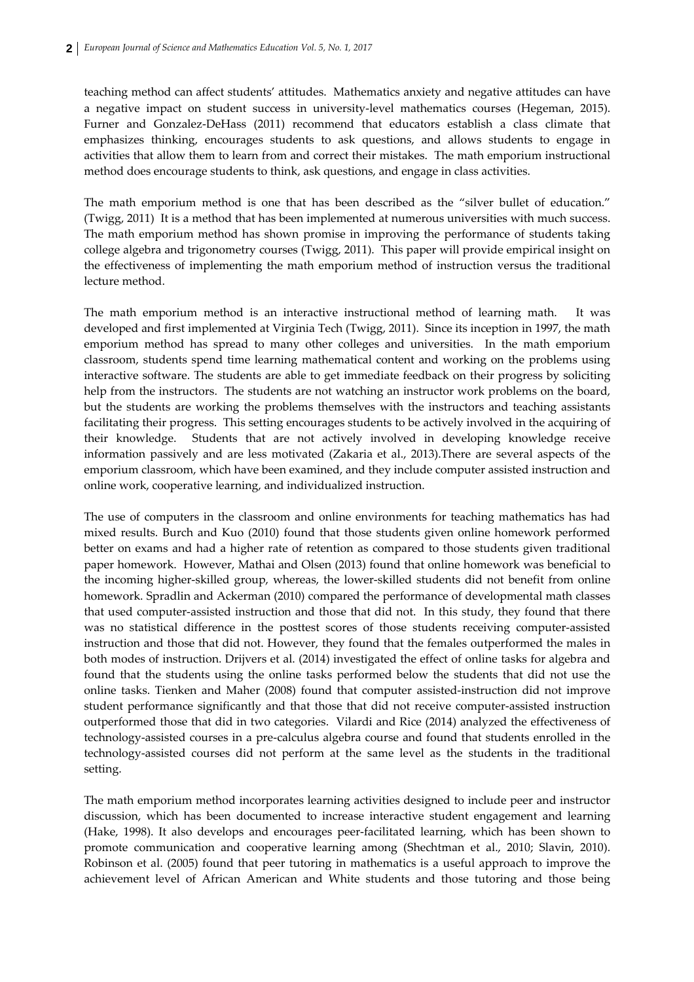teaching method can affect students' attitudes. Mathematics anxiety and negative attitudes can have a negative impact on student success in university-level mathematics courses (Hegeman, 2015). Furner and Gonzalez-DeHass (2011) recommend that educators establish a class climate that emphasizes thinking, encourages students to ask questions, and allows students to engage in activities that allow them to learn from and correct their mistakes. The math emporium instructional method does encourage students to think, ask questions, and engage in class activities.

The math emporium method is one that has been described as the "silver bullet of education." (Twigg, 2011) It is a method that has been implemented at numerous universities with much success. The math emporium method has shown promise in improving the performance of students taking college algebra and trigonometry courses (Twigg, 2011). This paper will provide empirical insight on the effectiveness of implementing the math emporium method of instruction versus the traditional lecture method.

The math emporium method is an interactive instructional method of learning math. It was developed and first implemented at Virginia Tech (Twigg, 2011). Since its inception in 1997, the math emporium method has spread to many other colleges and universities. In the math emporium classroom, students spend time learning mathematical content and working on the problems using interactive software. The students are able to get immediate feedback on their progress by soliciting help from the instructors. The students are not watching an instructor work problems on the board, but the students are working the problems themselves with the instructors and teaching assistants facilitating their progress. This setting encourages students to be actively involved in the acquiring of their knowledge. Students that are not actively involved in developing knowledge receive information passively and are less motivated (Zakaria et al., 2013).There are several aspects of the emporium classroom, which have been examined, and they include computer assisted instruction and online work, cooperative learning, and individualized instruction.

The use of computers in the classroom and online environments for teaching mathematics has had mixed results. Burch and Kuo (2010) found that those students given online homework performed better on exams and had a higher rate of retention as compared to those students given traditional paper homework. However, Mathai and Olsen (2013) found that online homework was beneficial to the incoming higher‐skilled group, whereas, the lower‐skilled students did not benefit from online homework. Spradlin and Ackerman (2010) compared the performance of developmental math classes that used computer‐assisted instruction and those that did not. In this study, they found that there was no statistical difference in the posttest scores of those students receiving computer‐assisted instruction and those that did not. However, they found that the females outperformed the males in both modes of instruction. Drijvers et al. (2014) investigated the effect of online tasks for algebra and found that the students using the online tasks performed below the students that did not use the online tasks. Tienken and Maher (2008) found that computer assisted‐instruction did not improve student performance significantly and that those that did not receive computer-assisted instruction outperformed those that did in two categories. Vilardi and Rice (2014) analyzed the effectiveness of technology‐assisted courses in a pre‐calculus algebra course and found that students enrolled in the technology‐assisted courses did not perform at the same level as the students in the traditional setting.

The math emporium method incorporates learning activities designed to include peer and instructor discussion, which has been documented to increase interactive student engagement and learning (Hake, 1998). It also develops and encourages peer‐facilitated learning, which has been shown to promote communication and cooperative learning among (Shechtman et al., 2010; Slavin, 2010). Robinson et al. (2005) found that peer tutoring in mathematics is a useful approach to improve the achievement level of African American and White students and those tutoring and those being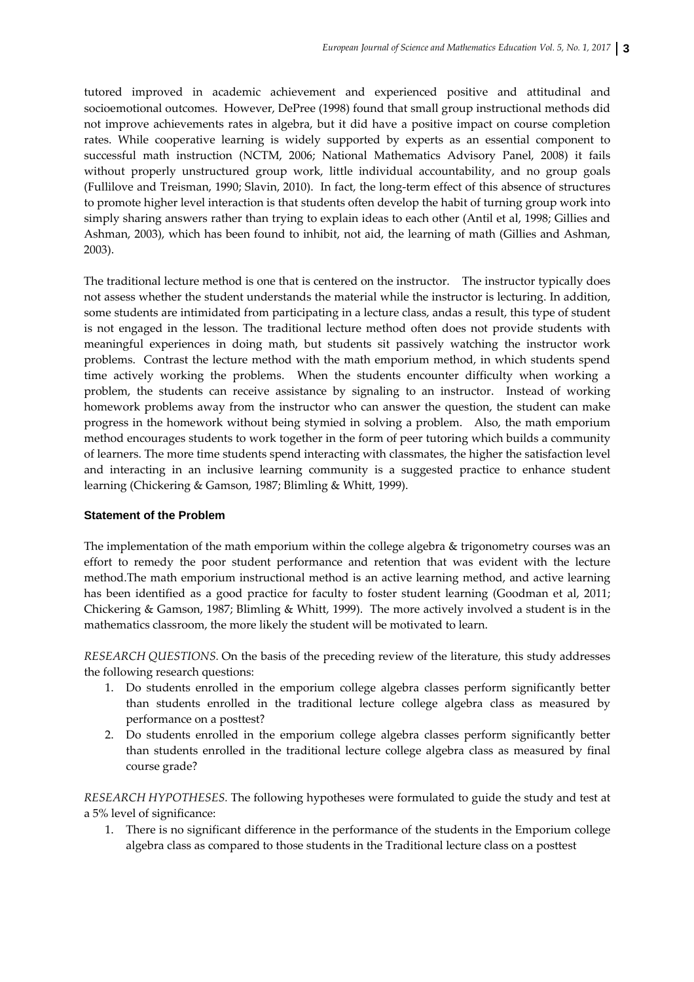tutored improved in academic achievement and experienced positive and attitudinal and socioemotional outcomes. However, DePree (1998) found that small group instructional methods did not improve achievements rates in algebra, but it did have a positive impact on course completion rates. While cooperative learning is widely supported by experts as an essential component to successful math instruction (NCTM, 2006; National Mathematics Advisory Panel, 2008) it fails without properly unstructured group work, little individual accountability, and no group goals (Fullilove and Treisman, 1990; Slavin, 2010). In fact, the long‐term effect of this absence of structures to promote higher level interaction is that students often develop the habit of turning group work into simply sharing answers rather than trying to explain ideas to each other (Antil et al, 1998; Gillies and Ashman, 2003), which has been found to inhibit, not aid, the learning of math (Gillies and Ashman, 2003).

The traditional lecture method is one that is centered on the instructor. The instructor typically does not assess whether the student understands the material while the instructor is lecturing. In addition, some students are intimidated from participating in a lecture class, andas a result, this type of student is not engaged in the lesson. The traditional lecture method often does not provide students with meaningful experiences in doing math, but students sit passively watching the instructor work problems. Contrast the lecture method with the math emporium method, in which students spend time actively working the problems. When the students encounter difficulty when working a problem, the students can receive assistance by signaling to an instructor. Instead of working homework problems away from the instructor who can answer the question, the student can make progress in the homework without being stymied in solving a problem. Also, the math emporium method encourages students to work together in the form of peer tutoring which builds a community of learners. The more time students spend interacting with classmates, the higher the satisfaction level and interacting in an inclusive learning community is a suggested practice to enhance student learning (Chickering & Gamson, 1987; Blimling & Whitt, 1999).

# **Statement of the Problem**

The implementation of the math emporium within the college algebra & trigonometry courses was an effort to remedy the poor student performance and retention that was evident with the lecture method.The math emporium instructional method is an active learning method, and active learning has been identified as a good practice for faculty to foster student learning (Goodman et al, 2011; Chickering & Gamson, 1987; Blimling & Whitt, 1999). The more actively involved a student is in the mathematics classroom, the more likely the student will be motivated to learn.

*RESEARCH QUESTIONS.* On the basis of the preceding review of the literature, this study addresses the following research questions:

- 1. Do students enrolled in the emporium college algebra classes perform significantly better than students enrolled in the traditional lecture college algebra class as measured by performance on a posttest?
- 2. Do students enrolled in the emporium college algebra classes perform significantly better than students enrolled in the traditional lecture college algebra class as measured by final course grade?

*RESEARCH HYPOTHESES.* The following hypotheses were formulated to guide the study and test at a 5% level of significance:

1. There is no significant difference in the performance of the students in the Emporium college algebra class as compared to those students in the Traditional lecture class on a posttest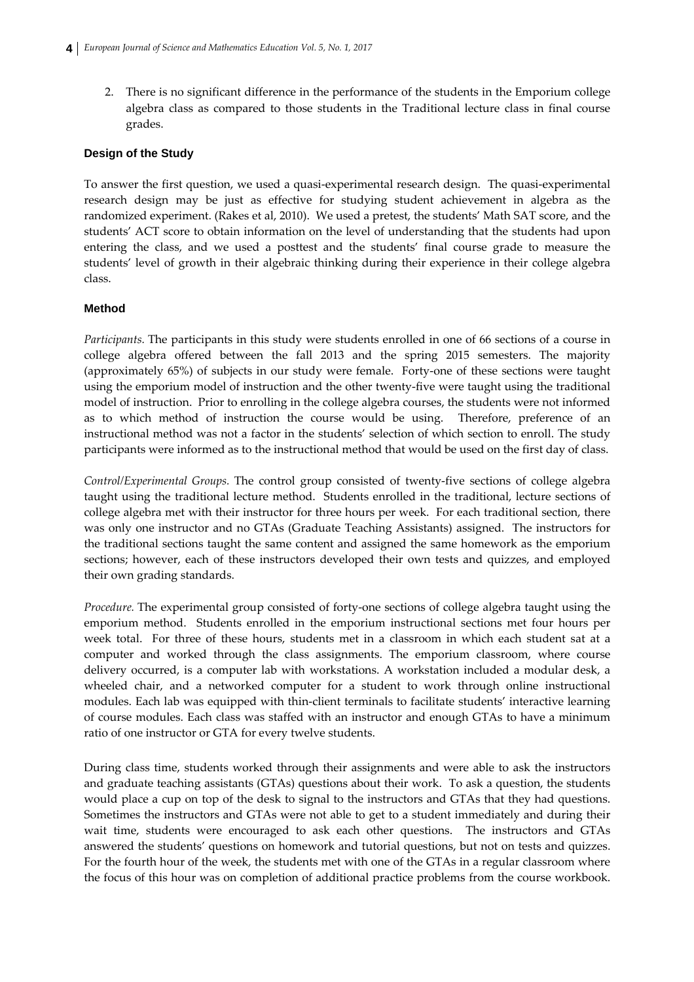2. There is no significant difference in the performance of the students in the Emporium college algebra class as compared to those students in the Traditional lecture class in final course grades.

### **Design of the Study**

To answer the first question, we used a quasi‐experimental research design. The quasi‐experimental research design may be just as effective for studying student achievement in algebra as the randomized experiment. (Rakes et al, 2010). We used a pretest, the students' Math SAT score, and the students' ACT score to obtain information on the level of understanding that the students had upon entering the class, and we used a posttest and the students' final course grade to measure the students' level of growth in their algebraic thinking during their experience in their college algebra class.

#### **Method**

*Participants.* The participants in this study were students enrolled in one of 66 sections of a course in college algebra offered between the fall 2013 and the spring 2015 semesters. The majority (approximately 65%) of subjects in our study were female. Forty-one of these sections were taught using the emporium model of instruction and the other twenty‐five were taught using the traditional model of instruction. Prior to enrolling in the college algebra courses, the students were not informed as to which method of instruction the course would be using. Therefore, preference of an instructional method was not a factor in the students' selection of which section to enroll. The study participants were informed as to the instructional method that would be used on the first day of class.

*Control/Experimental Groups.* The control group consisted of twenty‐five sections of college algebra taught using the traditional lecture method. Students enrolled in the traditional, lecture sections of college algebra met with their instructor for three hours per week. For each traditional section, there was only one instructor and no GTAs (Graduate Teaching Assistants) assigned. The instructors for the traditional sections taught the same content and assigned the same homework as the emporium sections; however, each of these instructors developed their own tests and quizzes, and employed their own grading standards.

*Procedure.* The experimental group consisted of forty-one sections of college algebra taught using the emporium method. Students enrolled in the emporium instructional sections met four hours per week total. For three of these hours, students met in a classroom in which each student sat at a computer and worked through the class assignments. The emporium classroom, where course delivery occurred, is a computer lab with workstations. A workstation included a modular desk, a wheeled chair, and a networked computer for a student to work through online instructional modules. Each lab was equipped with thin‐client terminals to facilitate students' interactive learning of course modules. Each class was staffed with an instructor and enough GTAs to have a minimum ratio of one instructor or GTA for every twelve students.

During class time, students worked through their assignments and were able to ask the instructors and graduate teaching assistants (GTAs) questions about their work. To ask a question, the students would place a cup on top of the desk to signal to the instructors and GTAs that they had questions. Sometimes the instructors and GTAs were not able to get to a student immediately and during their wait time, students were encouraged to ask each other questions. The instructors and GTAs answered the students' questions on homework and tutorial questions, but not on tests and quizzes. For the fourth hour of the week, the students met with one of the GTAs in a regular classroom where the focus of this hour was on completion of additional practice problems from the course workbook.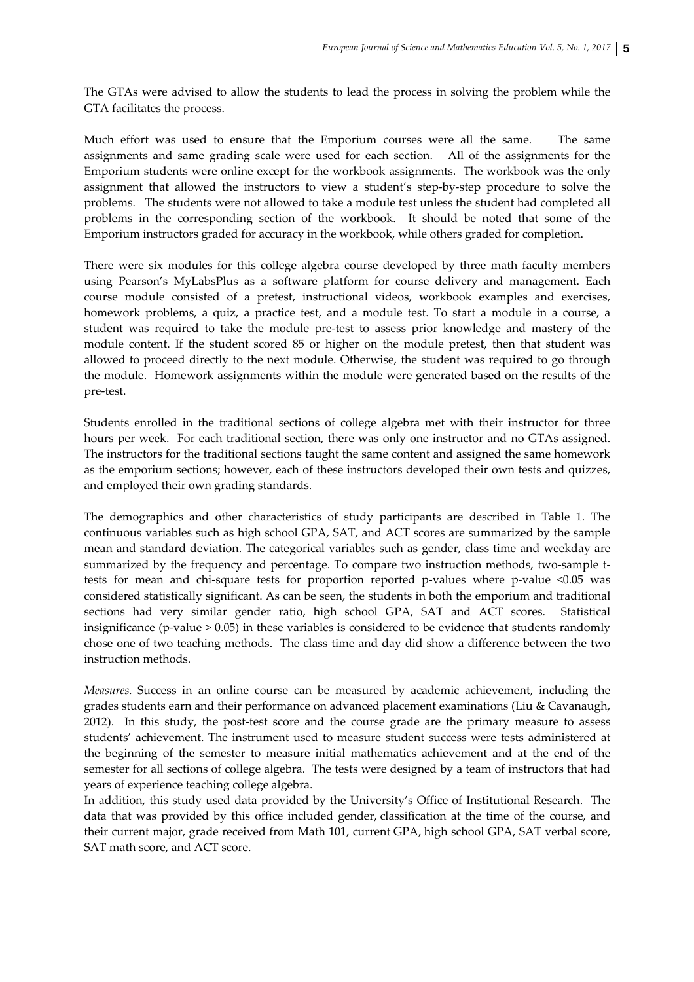The GTAs were advised to allow the students to lead the process in solving the problem while the GTA facilitates the process.

Much effort was used to ensure that the Emporium courses were all the same. The same assignments and same grading scale were used for each section. All of the assignments for the Emporium students were online except for the workbook assignments. The workbook was the only assignment that allowed the instructors to view a student's step‐by‐step procedure to solve the problems. The students were not allowed to take a module test unless the student had completed all problems in the corresponding section of the workbook. It should be noted that some of the Emporium instructors graded for accuracy in the workbook, while others graded for completion.

There were six modules for this college algebra course developed by three math faculty members using Pearson's MyLabsPlus as a software platform for course delivery and management. Each course module consisted of a pretest, instructional videos, workbook examples and exercises, homework problems, a quiz, a practice test, and a module test. To start a module in a course, a student was required to take the module pre‐test to assess prior knowledge and mastery of the module content. If the student scored 85 or higher on the module pretest, then that student was allowed to proceed directly to the next module. Otherwise, the student was required to go through the module. Homework assignments within the module were generated based on the results of the pre‐test.

Students enrolled in the traditional sections of college algebra met with their instructor for three hours per week. For each traditional section, there was only one instructor and no GTAs assigned. The instructors for the traditional sections taught the same content and assigned the same homework as the emporium sections; however, each of these instructors developed their own tests and quizzes, and employed their own grading standards.

The demographics and other characteristics of study participants are described in Table 1. The continuous variables such as high school GPA, SAT, and ACT scores are summarized by the sample mean and standard deviation. The categorical variables such as gender, class time and weekday are summarized by the frequency and percentage. To compare two instruction methods, two-sample ttests for mean and chi-square tests for proportion reported p-values where p-value <0.05 was considered statistically significant. As can be seen, the students in both the emporium and traditional sections had very similar gender ratio, high school GPA, SAT and ACT scores. Statistical insignificance (p-value  $> 0.05$ ) in these variables is considered to be evidence that students randomly chose one of two teaching methods. The class time and day did show a difference between the two instruction methods.

*Measures.* Success in an online course can be measured by academic achievement, including the grades students earn and their performance on advanced placement examinations (Liu & Cavanaugh, 2012). In this study, the post-test score and the course grade are the primary measure to assess students' achievement. The instrument used to measure student success were tests administered at the beginning of the semester to measure initial mathematics achievement and at the end of the semester for all sections of college algebra. The tests were designed by a team of instructors that had years of experience teaching college algebra.

In addition, this study used data provided by the University's Office of Institutional Research. The data that was provided by this office included gender, classification at the time of the course, and their current major, grade received from Math 101, current GPA, high school GPA, SAT verbal score, SAT math score, and ACT score.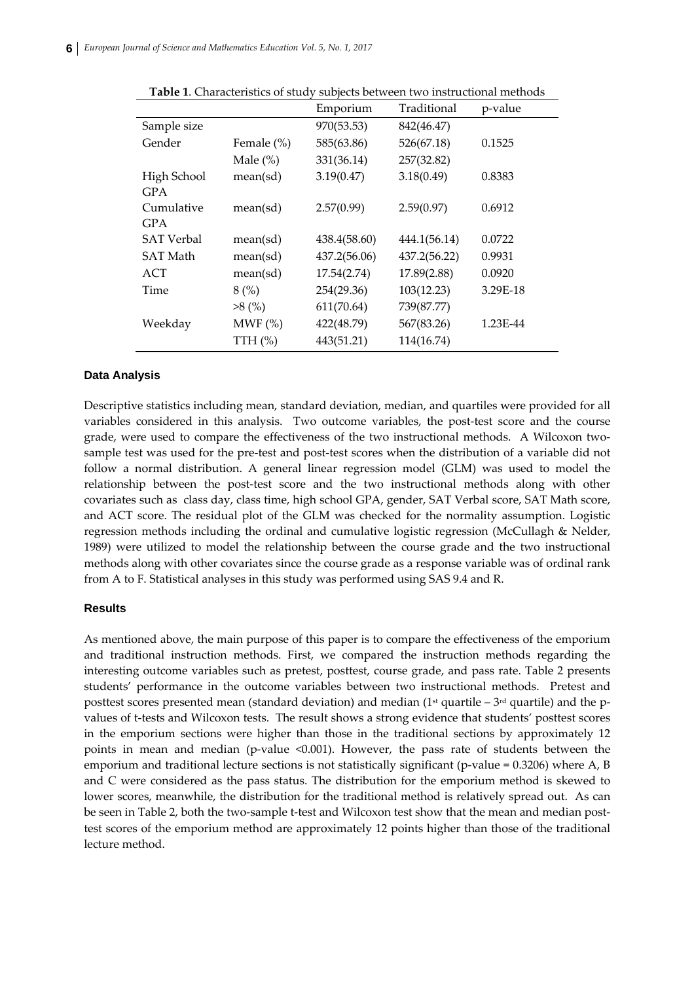|                   |             | Emporium     | Traditional  | p-value  |
|-------------------|-------------|--------------|--------------|----------|
| Sample size       |             | 970(53.53)   | 842(46.47)   |          |
| Gender            | Female (%)  | 585(63.86)   | 526(67.18)   | 0.1525   |
|                   | Male $(\%)$ | 331(36.14)   | 257(32.82)   |          |
| High School       | mean(sd)    | 3.19(0.47)   | 3.18(0.49)   | 0.8383   |
| <b>GPA</b>        |             |              |              |          |
| Cumulative        | mean(sd)    | 2.57(0.99)   | 2.59(0.97)   | 0.6912   |
| <b>GPA</b>        |             |              |              |          |
| <b>SAT Verbal</b> | mean(sd)    | 438.4(58.60) | 444.1(56.14) | 0.0722   |
| <b>SAT Math</b>   | mean(sd)    | 437.2(56.06) | 437.2(56.22) | 0.9931   |
| ACT               | mean(sd)    | 17.54(2.74)  | 17.89(2.88)  | 0.0920   |
| Time              | 8(%)        | 254(29.36)   | 103(12.23)   | 3.29E-18 |
|                   | $>8$ (%)    | 611(70.64)   | 739(87.77)   |          |
| Weekday           | MWF $(\%)$  | 422(48.79)   | 567(83.26)   | 1.23E-44 |
|                   | TTH $(\%)$  | 443(51.21)   | 114(16.74)   |          |

**Table 1**. Characteristics of study subjects between two instructional methods

### **Data Analysis**

Descriptive statistics including mean, standard deviation, median, and quartiles were provided for all variables considered in this analysis. Two outcome variables, the post-test score and the course grade, were used to compare the effectiveness of the two instructional methods. A Wilcoxon twosample test was used for the pre-test and post-test scores when the distribution of a variable did not follow a normal distribution. A general linear regression model (GLM) was used to model the relationship between the post-test score and the two instructional methods along with other covariates such as class day, class time, high school GPA, gender, SAT Verbal score, SAT Math score, and ACT score. The residual plot of the GLM was checked for the normality assumption. Logistic regression methods including the ordinal and cumulative logistic regression (McCullagh & Nelder, 1989) were utilized to model the relationship between the course grade and the two instructional methods along with other covariates since the course grade as a response variable was of ordinal rank from A to F. Statistical analyses in this study was performed using SAS 9.4 and R.

### **Results**

As mentioned above, the main purpose of this paper is to compare the effectiveness of the emporium and traditional instruction methods. First, we compared the instruction methods regarding the interesting outcome variables such as pretest, posttest, course grade, and pass rate. Table 2 presents students' performance in the outcome variables between two instructional methods. Pretest and posttest scores presented mean (standard deviation) and median  $(1<sup>st</sup>$  quartile –  $3<sup>rd</sup>$  quartile) and the pvalues of t-tests and Wilcoxon tests. The result shows a strong evidence that students' posttest scores in the emporium sections were higher than those in the traditional sections by approximately 12 points in mean and median (p‐value <0.001). However, the pass rate of students between the emporium and traditional lecture sections is not statistically significant (p-value =  $0.3206$ ) where A, B and C were considered as the pass status. The distribution for the emporium method is skewed to lower scores, meanwhile, the distribution for the traditional method is relatively spread out. As can be seen in Table 2, both the two-sample t-test and Wilcoxon test show that the mean and median posttest scores of the emporium method are approximately 12 points higher than those of the traditional lecture method.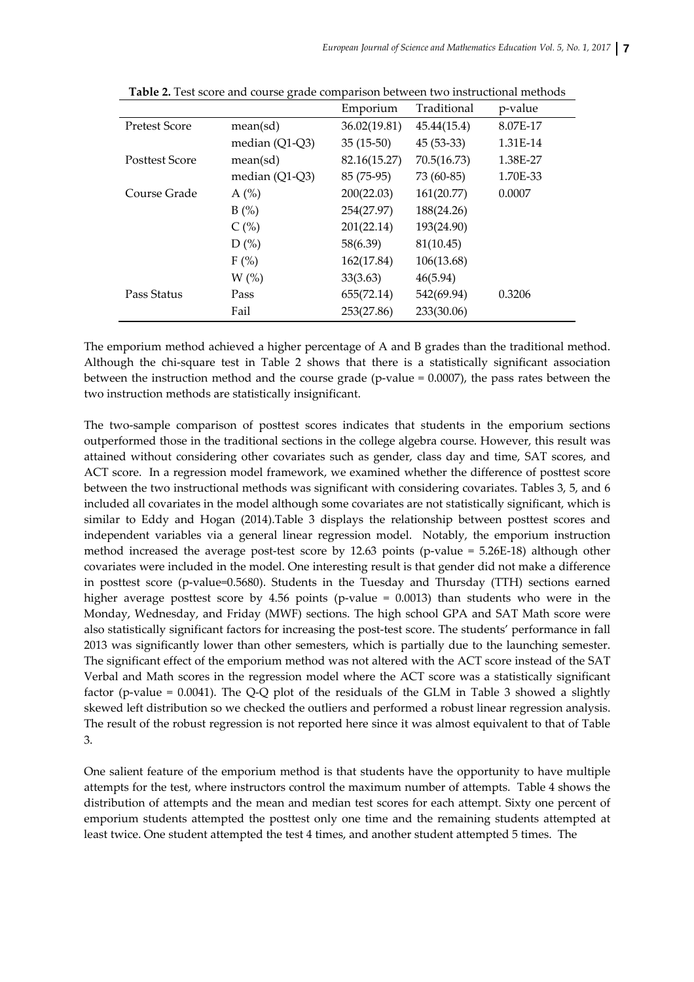|                       |                  | Emporium     | Traditional | p-value  |
|-----------------------|------------------|--------------|-------------|----------|
| <b>Pretest Score</b>  | mean(sd)         | 36.02(19.81) | 45.44(15.4) | 8.07E-17 |
|                       | median $(Q1-Q3)$ | $35(15-50)$  | $45(53-33)$ | 1.31E-14 |
| <b>Posttest Score</b> | mean(sd)         | 82.16(15.27) | 70.5(16.73) | 1.38E-27 |
|                       | median $(Q1-Q3)$ | 85 (75-95)   | 73 (60-85)  | 1.70E-33 |
| Course Grade          | $A(\%)$          | 200(22.03)   | 161(20.77)  | 0.0007   |
|                       | B(%)             | 254(27.97)   | 188(24.26)  |          |
|                       | C(%)             | 201(22.14)   | 193(24.90)  |          |
|                       | D(%)             | 58(6.39)     | 81(10.45)   |          |
|                       | $F(\%)$          | 162(17.84)   | 106(13.68)  |          |
|                       | $W$ (%)          | 33(3.63)     | 46(5.94)    |          |
| Pass Status           | Pass             | 655(72.14)   | 542(69.94)  | 0.3206   |
|                       | Fail             | 253(27.86)   | 233(30.06)  |          |

**Table 2.** Test score and course grade comparison between two instructional methods

The emporium method achieved a higher percentage of A and B grades than the traditional method. Although the chi-square test in Table 2 shows that there is a statistically significant association between the instruction method and the course grade (p-value  $= 0.0007$ ), the pass rates between the two instruction methods are statistically insignificant.

The two-sample comparison of posttest scores indicates that students in the emporium sections outperformed those in the traditional sections in the college algebra course. However, this result was attained without considering other covariates such as gender, class day and time, SAT scores, and ACT score. In a regression model framework, we examined whether the difference of posttest score between the two instructional methods was significant with considering covariates. Tables 3, 5, and 6 included all covariates in the model although some covariates are not statistically significant, which is similar to Eddy and Hogan (2014).Table 3 displays the relationship between posttest scores and independent variables via a general linear regression model. Notably, the emporium instruction method increased the average post-test score by  $12.63$  points (p-value =  $5.26E-18$ ) although other covariates were included in the model. One interesting result is that gender did not make a difference in posttest score (p-value=0.5680). Students in the Tuesday and Thursday (TTH) sections earned higher average posttest score by 4.56 points (p-value =  $0.0013$ ) than students who were in the Monday, Wednesday, and Friday (MWF) sections. The high school GPA and SAT Math score were also statistically significant factors for increasing the post-test score. The students' performance in fall 2013 was significantly lower than other semesters, which is partially due to the launching semester. The significant effect of the emporium method was not altered with the ACT score instead of the SAT Verbal and Math scores in the regression model where the ACT score was a statistically significant factor (p-value =  $0.0041$ ). The Q-Q plot of the residuals of the GLM in Table 3 showed a slightly skewed left distribution so we checked the outliers and performed a robust linear regression analysis. The result of the robust regression is not reported here since it was almost equivalent to that of Table 3.

One salient feature of the emporium method is that students have the opportunity to have multiple attempts for the test, where instructors control the maximum number of attempts. Table 4 shows the distribution of attempts and the mean and median test scores for each attempt. Sixty one percent of emporium students attempted the posttest only one time and the remaining students attempted at least twice. One student attempted the test 4 times, and another student attempted 5 times. The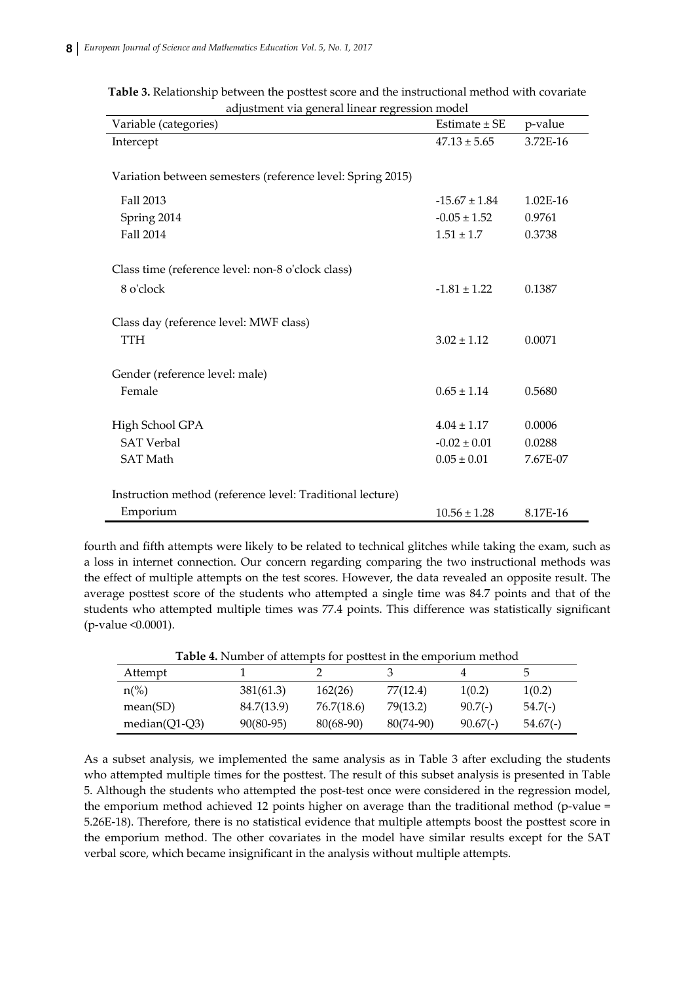| Variable (categories)                                      | Estimate $\pm$ SE | p-value    |
|------------------------------------------------------------|-------------------|------------|
| Intercept                                                  | $47.13 \pm 5.65$  | 3.72E-16   |
|                                                            |                   |            |
| Variation between semesters (reference level: Spring 2015) |                   |            |
| Fall 2013                                                  | $-15.67 \pm 1.84$ | $1.02E-16$ |
| Spring 2014                                                | $-0.05 \pm 1.52$  | 0.9761     |
| Fall 2014                                                  | $1.51 \pm 1.7$    | 0.3738     |
|                                                            |                   |            |
| Class time (reference level: non-8 o'clock class)          |                   |            |
| 8 o'clock                                                  | $-1.81 \pm 1.22$  | 0.1387     |
|                                                            |                   |            |
| Class day (reference level: MWF class)                     |                   |            |
| <b>TTH</b>                                                 | $3.02 \pm 1.12$   | 0.0071     |
|                                                            |                   |            |
| Gender (reference level: male)                             |                   |            |
| Female                                                     | $0.65 \pm 1.14$   | 0.5680     |
|                                                            |                   |            |
| High School GPA                                            | $4.04 \pm 1.17$   | 0.0006     |
| <b>SAT Verbal</b>                                          | $-0.02 \pm 0.01$  | 0.0288     |
| <b>SAT Math</b>                                            | $0.05 \pm 0.01$   | 7.67E-07   |
|                                                            |                   |            |
| Instruction method (reference level: Traditional lecture)  |                   |            |
| Emporium                                                   | $10.56 \pm 1.28$  | 8.17E-16   |

**Table 3.** Relationship between the posttest score and the instructional method with covariate adjustment via general linear regression model

fourth and fifth attempts were likely to be related to technical glitches while taking the exam, such as a loss in internet connection. Our concern regarding comparing the two instructional methods was the effect of multiple attempts on the test scores. However, the data revealed an opposite result. The average posttest score of the students who attempted a single time was 84.7 points and that of the students who attempted multiple times was 77.4 points. This difference was statistically significant (p‐value <0.0001).

| Table 4. Number of attempts for posttest in the emporium method |             |            |           |            |            |
|-----------------------------------------------------------------|-------------|------------|-----------|------------|------------|
| Attempt                                                         |             |            |           |            | 5          |
| $n\frac{\%}{\%}$                                                | 381(61.3)   | 162(26)    | 77(12.4)  | 1(0.2)     | 1(0.2)     |
| mean(SD)                                                        | 84.7(13.9)  | 76.7(18.6) | 79(13.2)  | $90.7(-)$  | $54.7(-)$  |
| median( $Q1-Q3$ )                                               | $90(80-95)$ | 80(68-90)  | 80(74-90) | $90.67(-)$ | $54.67(-)$ |

As a subset analysis, we implemented the same analysis as in Table 3 after excluding the students who attempted multiple times for the posttest. The result of this subset analysis is presented in Table 5. Although the students who attempted the post‐test once were considered in the regression model, the emporium method achieved 12 points higher on average than the traditional method (p-value  $=$ 5.26E‐18). Therefore, there is no statistical evidence that multiple attempts boost the posttest score in the emporium method. The other covariates in the model have similar results except for the SAT verbal score, which became insignificant in the analysis without multiple attempts.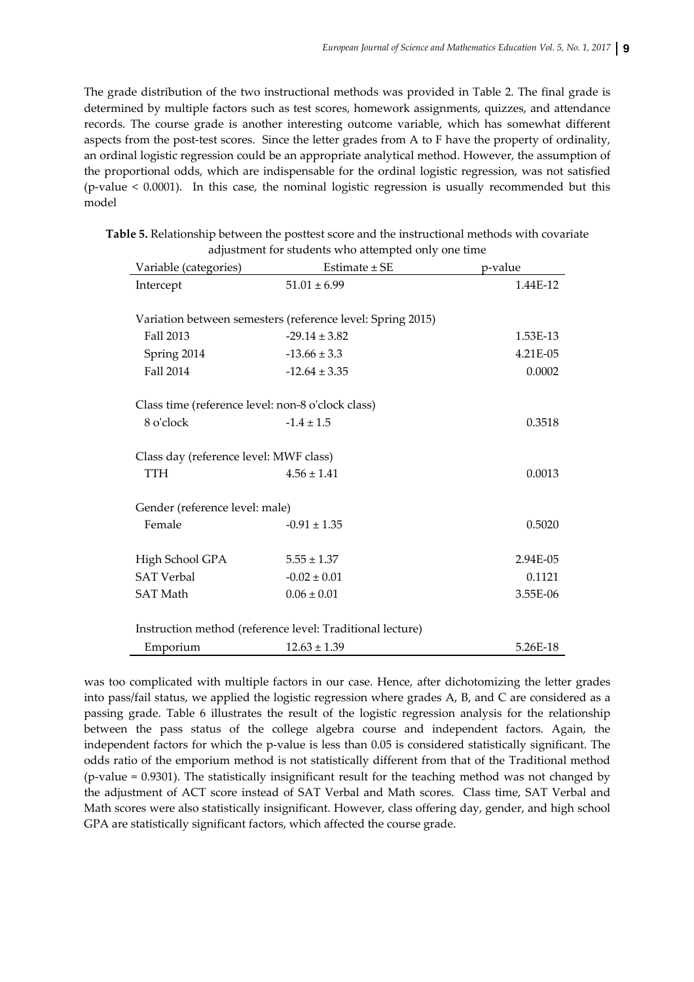The grade distribution of the two instructional methods was provided in Table 2. The final grade is determined by multiple factors such as test scores, homework assignments, quizzes, and attendance records. The course grade is another interesting outcome variable, which has somewhat different aspects from the post-test scores. Since the letter grades from A to F have the property of ordinality, an ordinal logistic regression could be an appropriate analytical method. However, the assumption of the proportional odds, which are indispensable for the ordinal logistic regression, was not satisfied (p-value  $< 0.0001$ ). In this case, the nominal logistic regression is usually recommended but this model

| Table 5. Relationship between the posttest score and the instructional methods with covariate |
|-----------------------------------------------------------------------------------------------|
| adjustment for students who attempted only one time                                           |

| Variable (categories)                                     | Estimate $\pm$ SE                                          | p-value  |  |  |
|-----------------------------------------------------------|------------------------------------------------------------|----------|--|--|
| Intercept                                                 | $51.01 \pm 6.99$                                           | 1.44E-12 |  |  |
|                                                           |                                                            |          |  |  |
|                                                           | Variation between semesters (reference level: Spring 2015) |          |  |  |
| Fall 2013                                                 | $-29.14 \pm 3.82$                                          | 1.53E-13 |  |  |
| Spring 2014                                               | $-13.66 \pm 3.3$                                           | 4.21E-05 |  |  |
| Fall 2014                                                 | $-12.64 \pm 3.35$                                          | 0.0002   |  |  |
|                                                           |                                                            |          |  |  |
| Class time (reference level: non-8 o'clock class)         |                                                            |          |  |  |
| 8 o'clock                                                 | $-1.4 \pm 1.5$                                             | 0.3518   |  |  |
|                                                           |                                                            |          |  |  |
| Class day (reference level: MWF class)                    |                                                            |          |  |  |
| <b>TTH</b>                                                | $4.56 \pm 1.41$                                            | 0.0013   |  |  |
|                                                           |                                                            |          |  |  |
| Gender (reference level: male)                            |                                                            |          |  |  |
| Female                                                    | $-0.91 \pm 1.35$                                           | 0.5020   |  |  |
|                                                           |                                                            |          |  |  |
| High School GPA                                           | $5.55 \pm 1.37$                                            | 2.94E-05 |  |  |
| <b>SAT Verbal</b>                                         | $-0.02 \pm 0.01$                                           | 0.1121   |  |  |
| <b>SAT Math</b>                                           | $0.06 \pm 0.01$                                            | 3.55E-06 |  |  |
|                                                           |                                                            |          |  |  |
| Instruction method (reference level: Traditional lecture) |                                                            |          |  |  |
| Emporium                                                  | $12.63 \pm 1.39$                                           | 5.26E-18 |  |  |

was too complicated with multiple factors in our case. Hence, after dichotomizing the letter grades into pass/fail status, we applied the logistic regression where grades A, B, and C are considered as a passing grade. Table 6 illustrates the result of the logistic regression analysis for the relationship between the pass status of the college algebra course and independent factors. Again, the independent factors for which the p-value is less than 0.05 is considered statistically significant. The odds ratio of the emporium method is not statistically different from that of the Traditional method  $(p-value = 0.9301)$ . The statistically insignificant result for the teaching method was not changed by the adjustment of ACT score instead of SAT Verbal and Math scores. Class time, SAT Verbal and Math scores were also statistically insignificant. However, class offering day, gender, and high school GPA are statistically significant factors, which affected the course grade.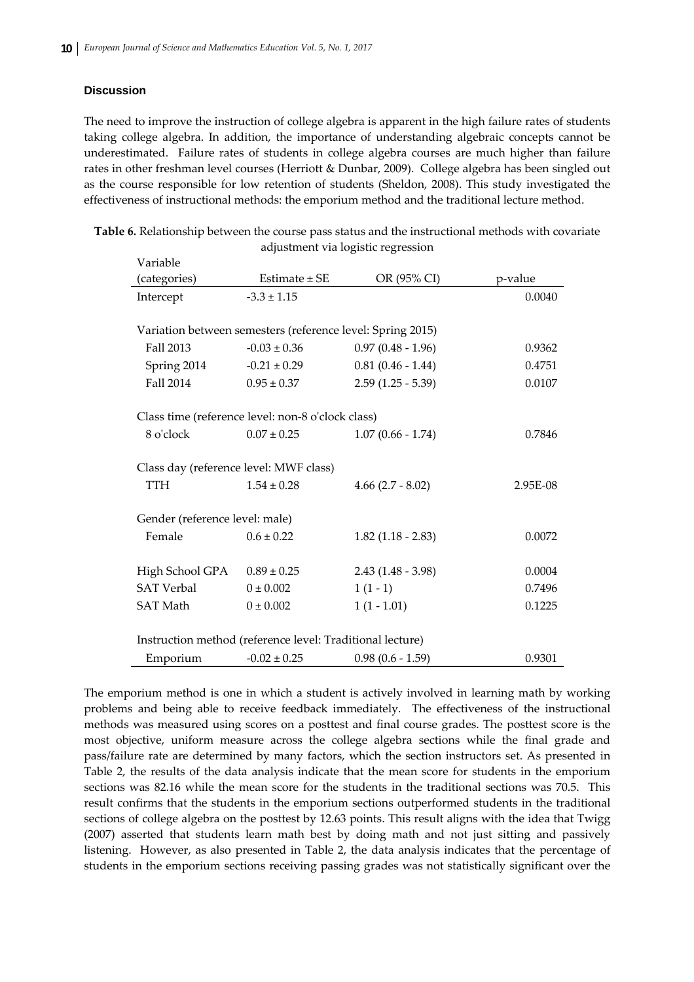## **Discussion**

The need to improve the instruction of college algebra is apparent in the high failure rates of students taking college algebra. In addition, the importance of understanding algebraic concepts cannot be underestimated. Failure rates of students in college algebra courses are much higher than failure rates in other freshman level courses (Herriott & Dunbar, 2009). College algebra has been singled out as the course responsible for low retention of students (Sheldon, 2008). This study investigated the effectiveness of instructional methods: the emporium method and the traditional lecture method.

| Variable                                                  |                                                            |                     |          |  |
|-----------------------------------------------------------|------------------------------------------------------------|---------------------|----------|--|
| (categories)                                              | Estimate $\pm$ SE                                          | OR (95% CI)         | p-value  |  |
| Intercept                                                 | $-3.3 \pm 1.15$                                            |                     | 0.0040   |  |
|                                                           |                                                            |                     |          |  |
|                                                           | Variation between semesters (reference level: Spring 2015) |                     |          |  |
| Fall 2013                                                 | $-0.03 \pm 0.36$                                           | $0.97(0.48 - 1.96)$ | 0.9362   |  |
| Spring 2014                                               | $-0.21 \pm 0.29$                                           | $0.81(0.46 - 1.44)$ | 0.4751   |  |
| Fall 2014                                                 | $0.95 \pm 0.37$                                            | $2.59(1.25 - 5.39)$ | 0.0107   |  |
|                                                           |                                                            |                     |          |  |
|                                                           | Class time (reference level: non-8 o'clock class)          |                     |          |  |
| 8 o'clock                                                 | $0.07 \pm 0.25$                                            | $1.07(0.66 - 1.74)$ | 0.7846   |  |
|                                                           |                                                            |                     |          |  |
| Class day (reference level: MWF class)                    |                                                            |                     |          |  |
| <b>TTH</b>                                                | $1.54 \pm 0.28$                                            | $4.66(2.7 - 8.02)$  | 2.95E-08 |  |
|                                                           |                                                            |                     |          |  |
| Gender (reference level: male)                            |                                                            |                     |          |  |
| Female                                                    | $0.6 \pm 0.22$                                             | $1.82(1.18 - 2.83)$ | 0.0072   |  |
|                                                           |                                                            |                     |          |  |
| High School GPA                                           | $0.89 \pm 0.25$                                            | $2.43(1.48 - 3.98)$ | 0.0004   |  |
| <b>SAT Verbal</b>                                         | $0 \pm 0.002$                                              | $1(1-1)$            | 0.7496   |  |
| <b>SAT Math</b>                                           | $0 \pm 0.002$                                              | $1(1 - 1.01)$       | 0.1225   |  |
|                                                           |                                                            |                     |          |  |
| Instruction method (reference level: Traditional lecture) |                                                            |                     |          |  |
| Emporium                                                  | $-0.02 \pm 0.25$                                           | $0.98(0.6 - 1.59)$  | 0.9301   |  |

**Table 6.** Relationship between the course pass status and the instructional methods with covariate adjustment via logistic regression

The emporium method is one in which a student is actively involved in learning math by working problems and being able to receive feedback immediately. The effectiveness of the instructional methods was measured using scores on a posttest and final course grades. The posttest score is the most objective, uniform measure across the college algebra sections while the final grade and pass/failure rate are determined by many factors, which the section instructors set. As presented in Table 2, the results of the data analysis indicate that the mean score for students in the emporium sections was 82.16 while the mean score for the students in the traditional sections was 70.5. This result confirms that the students in the emporium sections outperformed students in the traditional sections of college algebra on the posttest by 12.63 points. This result aligns with the idea that Twigg (2007) asserted that students learn math best by doing math and not just sitting and passively listening. However, as also presented in Table 2, the data analysis indicates that the percentage of students in the emporium sections receiving passing grades was not statistically significant over the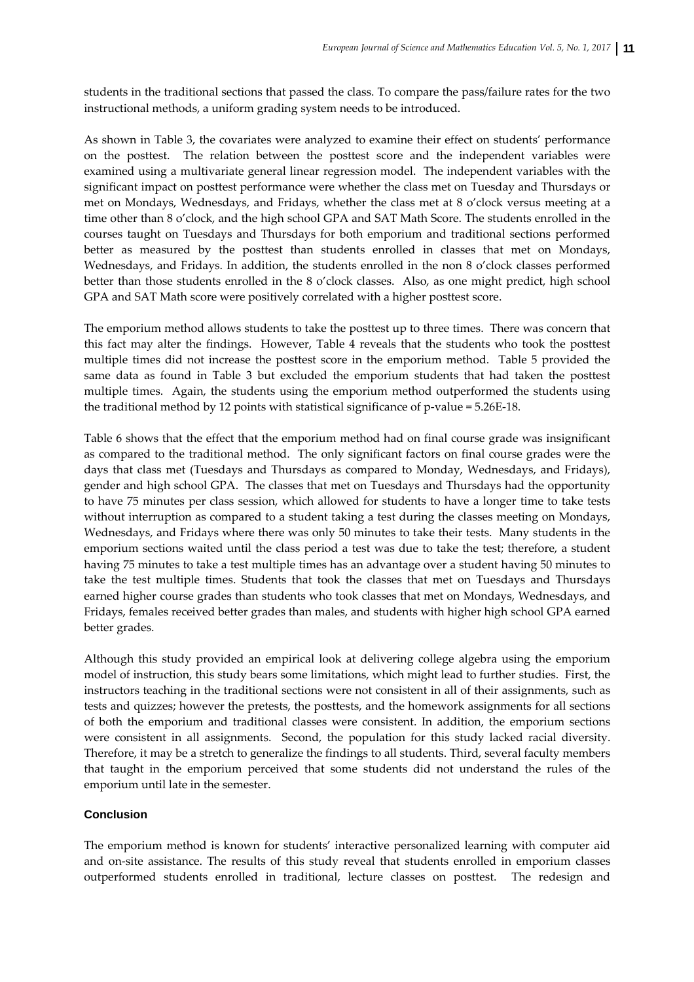students in the traditional sections that passed the class. To compare the pass/failure rates for the two instructional methods, a uniform grading system needs to be introduced.

As shown in Table 3, the covariates were analyzed to examine their effect on students' performance on the posttest. The relation between the posttest score and the independent variables were examined using a multivariate general linear regression model. The independent variables with the significant impact on posttest performance were whether the class met on Tuesday and Thursdays or met on Mondays, Wednesdays, and Fridays, whether the class met at 8 o'clock versus meeting at a time other than 8 o'clock, and the high school GPA and SAT Math Score. The students enrolled in the courses taught on Tuesdays and Thursdays for both emporium and traditional sections performed better as measured by the posttest than students enrolled in classes that met on Mondays, Wednesdays, and Fridays. In addition, the students enrolled in the non 8 o'clock classes performed better than those students enrolled in the 8 o'clock classes. Also, as one might predict, high school GPA and SAT Math score were positively correlated with a higher posttest score.

The emporium method allows students to take the posttest up to three times. There was concern that this fact may alter the findings. However, Table 4 reveals that the students who took the posttest multiple times did not increase the posttest score in the emporium method. Table 5 provided the same data as found in Table 3 but excluded the emporium students that had taken the posttest multiple times. Again, the students using the emporium method outperformed the students using the traditional method by 12 points with statistical significance of p-value =  $5.26E-18$ .

Table 6 shows that the effect that the emporium method had on final course grade was insignificant as compared to the traditional method. The only significant factors on final course grades were the days that class met (Tuesdays and Thursdays as compared to Monday, Wednesdays, and Fridays), gender and high school GPA. The classes that met on Tuesdays and Thursdays had the opportunity to have 75 minutes per class session, which allowed for students to have a longer time to take tests without interruption as compared to a student taking a test during the classes meeting on Mondays, Wednesdays, and Fridays where there was only 50 minutes to take their tests. Many students in the emporium sections waited until the class period a test was due to take the test; therefore, a student having 75 minutes to take a test multiple times has an advantage over a student having 50 minutes to take the test multiple times. Students that took the classes that met on Tuesdays and Thursdays earned higher course grades than students who took classes that met on Mondays, Wednesdays, and Fridays, females received better grades than males, and students with higher high school GPA earned better grades.

Although this study provided an empirical look at delivering college algebra using the emporium model of instruction, this study bears some limitations, which might lead to further studies. First, the instructors teaching in the traditional sections were not consistent in all of their assignments, such as tests and quizzes; however the pretests, the posttests, and the homework assignments for all sections of both the emporium and traditional classes were consistent. In addition, the emporium sections were consistent in all assignments. Second, the population for this study lacked racial diversity. Therefore, it may be a stretch to generalize the findings to all students. Third, several faculty members that taught in the emporium perceived that some students did not understand the rules of the emporium until late in the semester.

### **Conclusion**

The emporium method is known for students' interactive personalized learning with computer aid and on-site assistance. The results of this study reveal that students enrolled in emporium classes outperformed students enrolled in traditional, lecture classes on posttest. The redesign and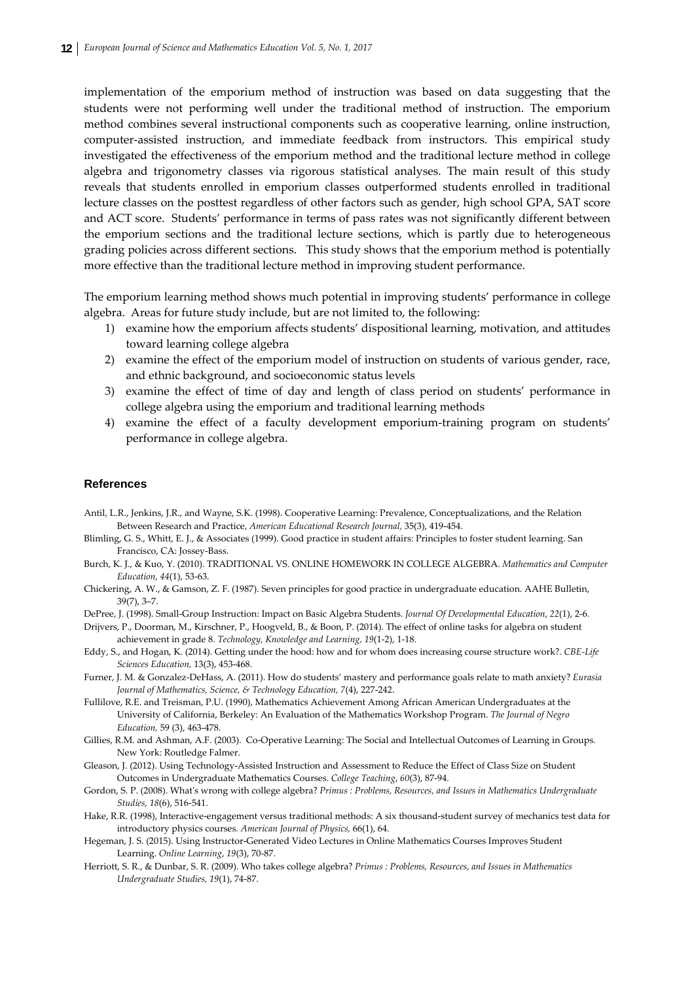implementation of the emporium method of instruction was based on data suggesting that the students were not performing well under the traditional method of instruction. The emporium method combines several instructional components such as cooperative learning, online instruction, computer‐assisted instruction, and immediate feedback from instructors. This empirical study investigated the effectiveness of the emporium method and the traditional lecture method in college algebra and trigonometry classes via rigorous statistical analyses. The main result of this study reveals that students enrolled in emporium classes outperformed students enrolled in traditional lecture classes on the posttest regardless of other factors such as gender, high school GPA, SAT score and ACT score. Students' performance in terms of pass rates was not significantly different between the emporium sections and the traditional lecture sections, which is partly due to heterogeneous grading policies across different sections. This study shows that the emporium method is potentially more effective than the traditional lecture method in improving student performance.

The emporium learning method shows much potential in improving students' performance in college algebra. Areas for future study include, but are not limited to, the following:

- 1) examine how the emporium affects students' dispositional learning, motivation, and attitudes toward learning college algebra
- 2) examine the effect of the emporium model of instruction on students of various gender, race, and ethnic background, and socioeconomic status levels
- 3) examine the effect of time of day and length of class period on students' performance in college algebra using the emporium and traditional learning methods
- 4) examine the effect of a faculty development emporium‐training program on students' performance in college algebra.

#### **References**

- Antil, L.R., Jenkins, J.R., and Wayne, S.K. (1998). Cooperative Learning: Prevalence, Conceptualizations, and the Relation Between Research and Practice, *American Educational Research Journal,* 35(3), 419‐454.
- Blimling, G. S., Whitt, E. J., & Associates (1999). Good practice in student affairs: Principles to foster student learning. San Francisco, CA: Jossey‐Bass.
- Burch, K. J., & Kuo, Y. (2010). TRADITIONAL VS. ONLINE HOMEWORK IN COLLEGE ALGEBRA. *Mathematics and Computer Education, 44*(1), 53‐63.
- Chickering, A. W., & Gamson, Z. F. (1987). Seven principles for good practice in undergraduate education. AAHE Bulletin, 39(7), 3–7.
- DePree, J. (1998). Small‐Group Instruction: Impact on Basic Algebra Students. *Journal Of Developmental Education*, *22*(1), 2‐6.

Drijvers, P., Doorman, M., Kirschner, P., Hoogveld, B., & Boon, P. (2014). The effect of online tasks for algebra on student achievement in grade 8. *Technology, Knowledge and Learning, 19*(1‐2), 1‐18.

Eddy, S., and Hogan, K. (2014). Getting under the hood: how and for whom does increasing course structure work?. *CBE‐Life Sciences Education,* 13(3), 453‐468.

- Furner, J. M. & Gonzalez‐DeHass, A. (2011). How do students' mastery and performance goals relate to math anxiety? *Eurasia Journal of Mathematics, Science, & Technology Education, 7*(4), 227‐242.
- Fullilove, R.E. and Treisman, P.U. (1990), Mathematics Achievement Among African American Undergraduates at the University of California, Berkeley: An Evaluation of the Mathematics Workshop Program. *The Journal of Negro Education,* 59 (3), 463‐478.
- Gillies, R.M. and Ashman, A.F. (2003). Co-Operative Learning: The Social and Intellectual Outcomes of Learning in Groups. New York: Routledge Falmer.
- Gleason, J. (2012). Using Technology‐Assisted Instruction and Assessment to Reduce the Effect of Class Size on Student Outcomes in Undergraduate Mathematics Courses. *College Teaching*, *60*(3), 87‐94.
- Gordon, S. P. (2008). Whatʹs wrong with college algebra? *Primus : Problems, Resources, and Issues in Mathematics Undergraduate Studies, 18*(6), 516‐541.
- Hake, R.R. (1998), Interactive-engagement versus traditional methods: A six thousand-student survey of mechanics test data for introductory physics courses*. American Journal of Physics,* 66(1), 64.
- Hegeman, J. S. (2015). Using Instructor‐Generated Video Lectures in Online Mathematics Courses Improves Student Learning. *Online Learning*, *19*(3), 70‐87.
- Herriott, S. R., & Dunbar, S. R. (2009). Who takes college algebra? *Primus : Problems, Resources, and Issues in Mathematics Undergraduate Studies, 19*(1), 74‐87.